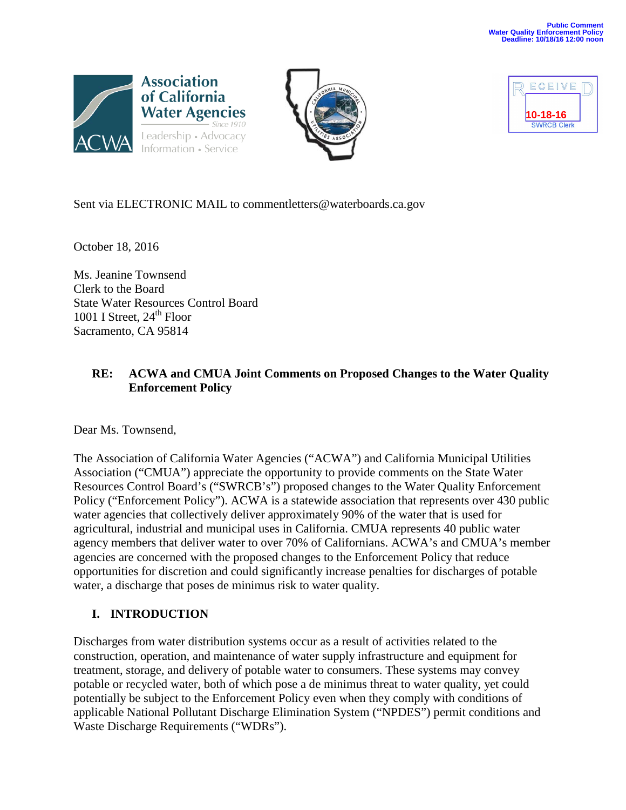





Sent via ELECTRONIC MAIL to commentletters@waterboards.ca.gov

October 18, 2016

Ms. Jeanine Townsend Clerk to the Board State Water Resources Control Board 1001 I Street,  $24<sup>th</sup>$  Floor Sacramento, CA 95814

### **RE: ACWA and CMUA Joint Comments on Proposed Changes to the Water Quality Enforcement Policy**

Dear Ms. Townsend,

The Association of California Water Agencies ("ACWA") and California Municipal Utilities Association ("CMUA") appreciate the opportunity to provide comments on the State Water Resources Control Board's ("SWRCB's") proposed changes to the Water Quality Enforcement Policy ("Enforcement Policy"). ACWA is a statewide association that represents over 430 public water agencies that collectively deliver approximately 90% of the water that is used for agricultural, industrial and municipal uses in California. CMUA represents 40 public water agency members that deliver water to over 70% of Californians. ACWA's and CMUA's member agencies are concerned with the proposed changes to the Enforcement Policy that reduce opportunities for discretion and could significantly increase penalties for discharges of potable water, a discharge that poses de minimus risk to water quality.

# **I. INTRODUCTION**

Discharges from water distribution systems occur as a result of activities related to the construction, operation, and maintenance of water supply infrastructure and equipment for treatment, storage, and delivery of potable water to consumers. These systems may convey potable or recycled water, both of which pose a de minimus threat to water quality, yet could potentially be subject to the Enforcement Policy even when they comply with conditions of applicable National Pollutant Discharge Elimination System ("NPDES") permit conditions and Waste Discharge Requirements ("WDRs").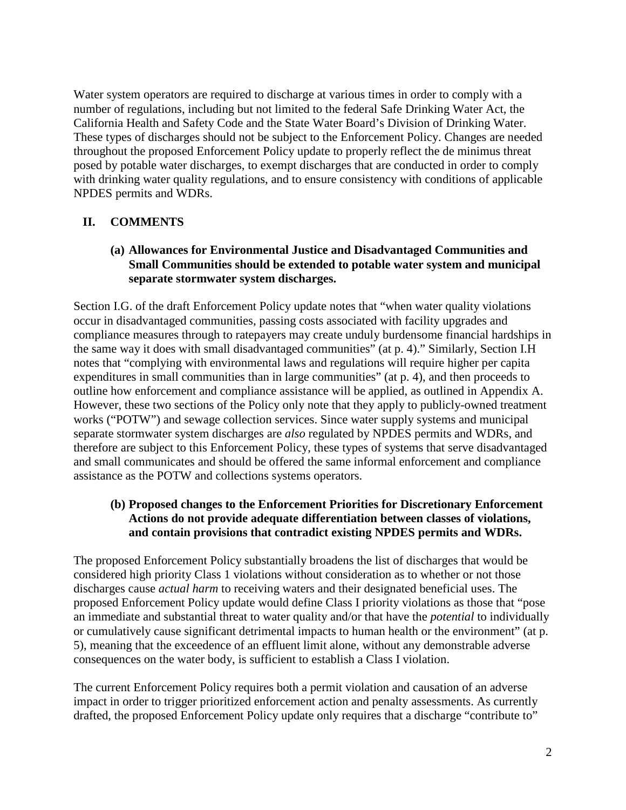Water system operators are required to discharge at various times in order to comply with a number of regulations, including but not limited to the federal Safe Drinking Water Act, the California Health and Safety Code and the State Water Board's Division of Drinking Water. These types of discharges should not be subject to the Enforcement Policy. Changes are needed throughout the proposed Enforcement Policy update to properly reflect the de minimus threat posed by potable water discharges, to exempt discharges that are conducted in order to comply with drinking water quality regulations, and to ensure consistency with conditions of applicable NPDES permits and WDRs.

### **II. COMMENTS**

#### **(a) Allowances for Environmental Justice and Disadvantaged Communities and Small Communities should be extended to potable water system and municipal separate stormwater system discharges.**

Section I.G. of the draft Enforcement Policy update notes that "when water quality violations occur in disadvantaged communities, passing costs associated with facility upgrades and compliance measures through to ratepayers may create unduly burdensome financial hardships in the same way it does with small disadvantaged communities" (at p. 4)." Similarly, Section I.H notes that "complying with environmental laws and regulations will require higher per capita expenditures in small communities than in large communities" (at p. 4), and then proceeds to outline how enforcement and compliance assistance will be applied, as outlined in Appendix A. However, these two sections of the Policy only note that they apply to publicly-owned treatment works ("POTW") and sewage collection services. Since water supply systems and municipal separate stormwater system discharges are *also* regulated by NPDES permits and WDRs, and therefore are subject to this Enforcement Policy, these types of systems that serve disadvantaged and small communicates and should be offered the same informal enforcement and compliance assistance as the POTW and collections systems operators.

#### **(b) Proposed changes to the Enforcement Priorities for Discretionary Enforcement Actions do not provide adequate differentiation between classes of violations, and contain provisions that contradict existing NPDES permits and WDRs.**

The proposed Enforcement Policy substantially broadens the list of discharges that would be considered high priority Class 1 violations without consideration as to whether or not those discharges cause *actual harm* to receiving waters and their designated beneficial uses. The proposed Enforcement Policy update would define Class I priority violations as those that "pose an immediate and substantial threat to water quality and/or that have the *potential* to individually or cumulatively cause significant detrimental impacts to human health or the environment" (at p. 5), meaning that the exceedence of an effluent limit alone, without any demonstrable adverse consequences on the water body, is sufficient to establish a Class I violation.

The current Enforcement Policy requires both a permit violation and causation of an adverse impact in order to trigger prioritized enforcement action and penalty assessments. As currently drafted, the proposed Enforcement Policy update only requires that a discharge "contribute to"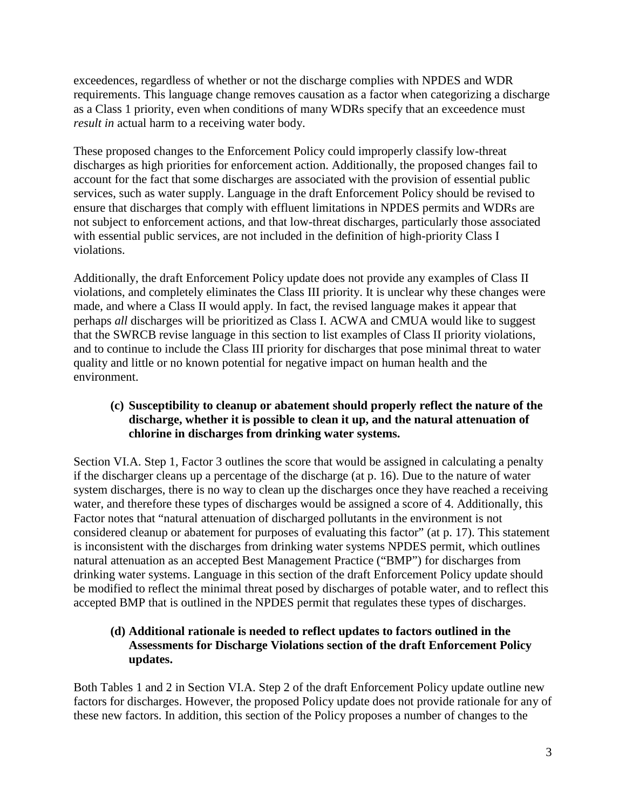exceedences, regardless of whether or not the discharge complies with NPDES and WDR requirements. This language change removes causation as a factor when categorizing a discharge as a Class 1 priority, even when conditions of many WDRs specify that an exceedence must *result in* actual harm to a receiving water body.

These proposed changes to the Enforcement Policy could improperly classify low-threat discharges as high priorities for enforcement action. Additionally, the proposed changes fail to account for the fact that some discharges are associated with the provision of essential public services, such as water supply. Language in the draft Enforcement Policy should be revised to ensure that discharges that comply with effluent limitations in NPDES permits and WDRs are not subject to enforcement actions, and that low-threat discharges, particularly those associated with essential public services, are not included in the definition of high-priority Class I violations.

Additionally, the draft Enforcement Policy update does not provide any examples of Class II violations, and completely eliminates the Class III priority. It is unclear why these changes were made, and where a Class II would apply. In fact, the revised language makes it appear that perhaps *all* discharges will be prioritized as Class I. ACWA and CMUA would like to suggest that the SWRCB revise language in this section to list examples of Class II priority violations, and to continue to include the Class III priority for discharges that pose minimal threat to water quality and little or no known potential for negative impact on human health and the environment.

### **(c) Susceptibility to cleanup or abatement should properly reflect the nature of the discharge, whether it is possible to clean it up, and the natural attenuation of chlorine in discharges from drinking water systems.**

Section VI.A. Step 1, Factor 3 outlines the score that would be assigned in calculating a penalty if the discharger cleans up a percentage of the discharge (at p. 16). Due to the nature of water system discharges, there is no way to clean up the discharges once they have reached a receiving water, and therefore these types of discharges would be assigned a score of 4. Additionally, this Factor notes that "natural attenuation of discharged pollutants in the environment is not considered cleanup or abatement for purposes of evaluating this factor" (at p. 17). This statement is inconsistent with the discharges from drinking water systems NPDES permit, which outlines natural attenuation as an accepted Best Management Practice ("BMP") for discharges from drinking water systems. Language in this section of the draft Enforcement Policy update should be modified to reflect the minimal threat posed by discharges of potable water, and to reflect this accepted BMP that is outlined in the NPDES permit that regulates these types of discharges.

### **(d) Additional rationale is needed to reflect updates to factors outlined in the Assessments for Discharge Violations section of the draft Enforcement Policy updates.**

Both Tables 1 and 2 in Section VI.A. Step 2 of the draft Enforcement Policy update outline new factors for discharges. However, the proposed Policy update does not provide rationale for any of these new factors. In addition, this section of the Policy proposes a number of changes to the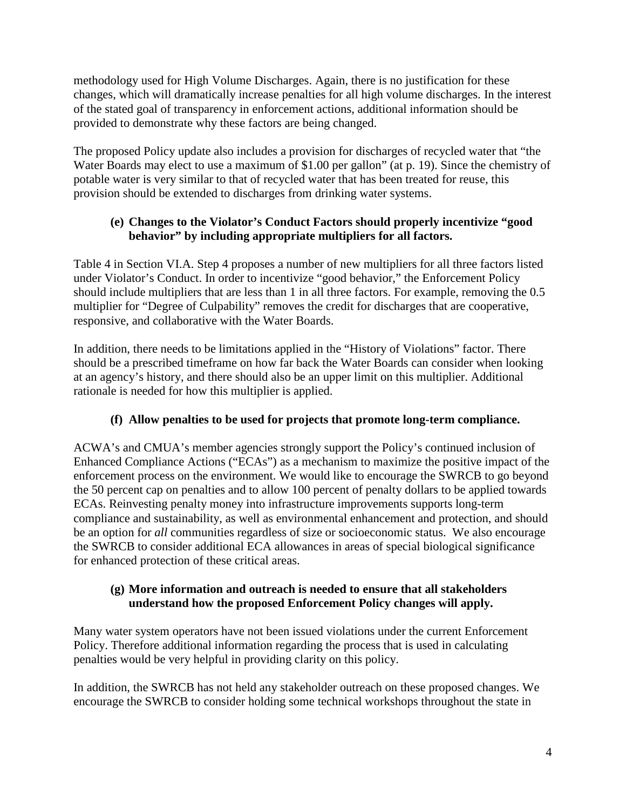methodology used for High Volume Discharges. Again, there is no justification for these changes, which will dramatically increase penalties for all high volume discharges. In the interest of the stated goal of transparency in enforcement actions, additional information should be provided to demonstrate why these factors are being changed.

The proposed Policy update also includes a provision for discharges of recycled water that "the Water Boards may elect to use a maximum of \$1.00 per gallon" (at p. 19). Since the chemistry of potable water is very similar to that of recycled water that has been treated for reuse, this provision should be extended to discharges from drinking water systems.

# **(e) Changes to the Violator's Conduct Factors should properly incentivize "good behavior" by including appropriate multipliers for all factors.**

Table 4 in Section VI.A. Step 4 proposes a number of new multipliers for all three factors listed under Violator's Conduct. In order to incentivize "good behavior," the Enforcement Policy should include multipliers that are less than 1 in all three factors. For example, removing the 0.5 multiplier for "Degree of Culpability" removes the credit for discharges that are cooperative, responsive, and collaborative with the Water Boards.

In addition, there needs to be limitations applied in the "History of Violations" factor. There should be a prescribed timeframe on how far back the Water Boards can consider when looking at an agency's history, and there should also be an upper limit on this multiplier. Additional rationale is needed for how this multiplier is applied.

# **(f) Allow penalties to be used for projects that promote long-term compliance.**

ACWA's and CMUA's member agencies strongly support the Policy's continued inclusion of Enhanced Compliance Actions ("ECAs") as a mechanism to maximize the positive impact of the enforcement process on the environment. We would like to encourage the SWRCB to go beyond the 50 percent cap on penalties and to allow 100 percent of penalty dollars to be applied towards ECAs. Reinvesting penalty money into infrastructure improvements supports long-term compliance and sustainability, as well as environmental enhancement and protection, and should be an option for *all* communities regardless of size or socioeconomic status. We also encourage the SWRCB to consider additional ECA allowances in areas of special biological significance for enhanced protection of these critical areas.

### **(g) More information and outreach is needed to ensure that all stakeholders understand how the proposed Enforcement Policy changes will apply.**

Many water system operators have not been issued violations under the current Enforcement Policy. Therefore additional information regarding the process that is used in calculating penalties would be very helpful in providing clarity on this policy.

In addition, the SWRCB has not held any stakeholder outreach on these proposed changes. We encourage the SWRCB to consider holding some technical workshops throughout the state in